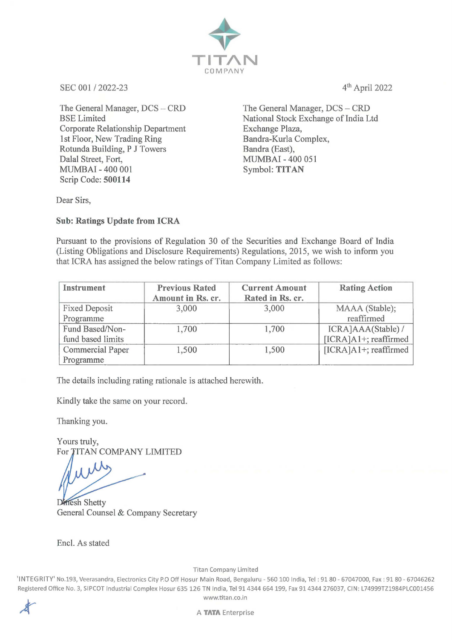

SEC 001 / 2022-23 4<sup>th</sup> April 2022

The General Manager, DCS - CRD BSE Limited Corporate Relationship Department 1st Floor, New Trading Ring Rotunda Building, P J Towers Dalal Street, Fort, MUMBAI - 400 001 Symbol: **TITAN**  Scrip Code: **500114** 

The General Manager, DCS - CRD National Stock Exchange of India Ltd Exchange Plaza, Bandra-Kurla Complex, Bandra (East), MUMBAI - 400 051

Dear Sirs,

**Sub: Ratings Update from ICRA** 

Pursuant to the provisions of Regulation 30 of the Securities and Exchange Board of India (Listing Obligations and Disclosure Requirements) Regulations, 2015, we wish to inform you that ICRA has assigned the below ratings of Titan Company Limited as follows:

| Instrument              | <b>Previous Rated</b><br>Amount in Rs. cr. | <b>Current Amount</b><br>Rated in Rs. cr. | <b>Rating Action</b>    |
|-------------------------|--------------------------------------------|-------------------------------------------|-------------------------|
| <b>Fixed Deposit</b>    | 3,000                                      | 3,000                                     | MAAA (Stable);          |
| Programme               |                                            |                                           | reaffirmed              |
| Fund Based/Non-         | 1,700                                      | 1,700                                     | ICRA]AAA(Stable) /      |
| fund based limits       |                                            |                                           | [ICRA]A1+; reaffirmed   |
| <b>Commercial Paper</b> | 1,500                                      | 1,500                                     | $[ICRA]A1+;$ reaffirmed |
| Programme               |                                            |                                           |                         |

The details including rating rationale is attached herewith.

Kindly take the same on your record.

Thanking you.

Yours truly, For TITAN COMPANY LIMITED

Dinesh Shetty General Counsel & Company Secretary

Encl. As stated

Titan Company Limited

'INTEGRITY' No.193, Veerasandra, Electronics City P.O Off Hosur Main Road, Bengaluru - 560 100 India, Tel : 9180 - 67047000, Fax: 91 80 - 67046262 Registered Office No. 3, SIP COT Industrial Complex Hosur 635 126 TN India, Tel 914344 664 199, Fax 914344 276037, Cl N: L74999TZ1984PLC001456 www.titan.co.in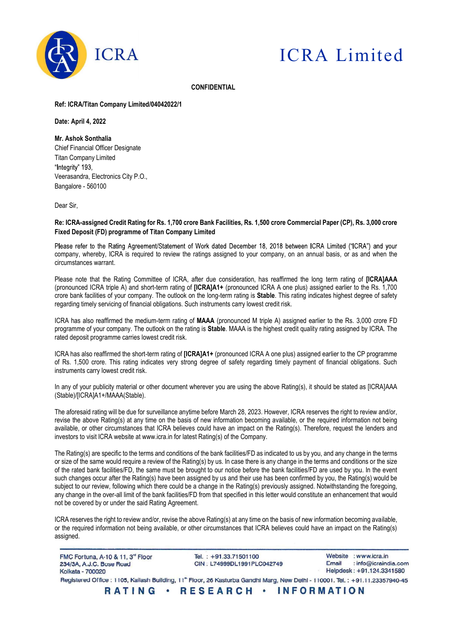

# ICRA Limited

#### **CONFIDENTIAL**

### Ref: ICRA/Titan Company Limited/04042022/1

#### Date: April 4, 2022

#### Mr. Ashok Sonthalia

Chief Financial Officer Designate Titan Company Limited "Integrity" 193, Veerasandra, Electronics City P.O., Bangalore - 560100

Dear Sir,

## Re: ICRA-assigned Credit Rating for Rs. 1,700 crore Bank Facilities, Rs. 1,500 crore Commercial Paper (CP), Rs. 3,000 crore Fixed Deposit (FD) programme of Titan Company Limited

Please refer to the Rating Agreement/Statement of Work dated December 18, 2018 between ICRA Limited ("ICRA") and your company, whereby, ICRA is required to review the ratings assigned to your company, on an annual basis, or as and when the circumstances warrant.

Please note that the Rating Committee of ICRA, after due consideration, has reaffirmed the long term rating of IICRAJAAA (pronounced ICRA triple A) and short-term rating of [ICRA]A1+ (pronounced ICRA A one plus) assigned earlier to the Rs. 1,700 crore bank facilities of your company. The outlook on the long-term rating is Stable. This rating indicates highest degree of safety regarding timely servicing of financial obligations. Such instruments carry lowest credit risk.

ICRA has also reaffirmed the medium-term rating of MAAA (pronounced M triple A) assigned earlier to the Rs. 3,000 crore FD programme of your company. The outlook on the rating is Stable. MAAA is the highest credit quality rating assigned by ICRA. The rated deposit programme carries lowest credit risk.

ICRA has also reaffirmed the short-term rating of [ICRA]A1+ (pronounced ICRA A one plus) assigned earlier to the CP programme of Rs. 1,500 crore. This rating indicates very strong degree of safety regarding timely payment of financial obligations. Such instruments carry lowest credit risk.

In any of your publicity material or other document wherever you are using the above Rating(s), it should be stated as [ICRA]AAA (Stable)/[ICRA]A1+/MAAA(Stable).

The aforesaid rating will be due for surveillance anytime before March 28, 2023. However, ICRA reserves the right to review and/or, revise the above Rating(s) at any time on the basis of new information becoming available, or the required information not being available, or other circumstances that ICRA believes could have an impact on the Rating(s). Therefore, request the lenders and investors to visit ICRA website at www.icra.in for latest Rating(s) of the Company.

The Rating(s) are specific to the terms and conditions of the bank facilities/FD as indicated to us by you, and any change in the terms or size of the same would require a review of the Rating(s) by us. In case there is any change in the terms and conditions or the size of the rated bank facilities/FD, the same must be brought to our notice before the bank facilities/FD are used by you. In the event such changes occur after the Rating(s) have been assigned by us and their use has been confirmed by you, the Rating(s) would be subject to our review, following which there could be a change in the Rating(s) previously assigned. Notwithstanding the foregoing, any change in the over-all limit of the bank facilities/FD from that specified in this letter would constitute an enhancement that would not be covered by or under the said Rating Agreement.

ICRA reserves the right to review and/or, revise the above Rating(s) at any time on the basis of new information becoming available, or the required information not being available, or other circumstances that ICRA believes could have an impact on the Rating(s) assigned.

Website : www.icra.in FMC Fortuna, A-10 & 11, 3rd Floor Tel.: +91.33.71501100 : info@icraindia.com 234/3A, A.J.C. Bose Road CIN: L74999DL1991PLC042749 Email Helpdesk: +91.124.3341580 Kolkata - 700020 Registered Office: 1105, Kailash Building, 11<sup>th</sup> Floor, 26 Kasturba Gandhi Marg, New Delhi - 110001. Tel.: +91.11.23357940-45 RATING · RESEARCH · INFORMATION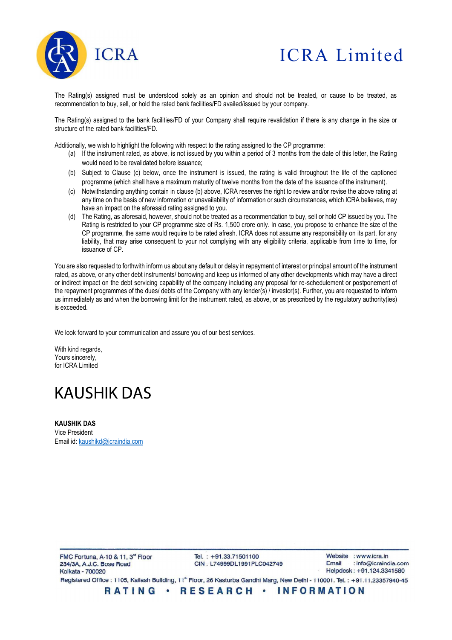

# ICRA Limited

The Rating(s) assigned must be understood solely as an opinion and should not be treated, or cause to be treated, as recommendation to buy, sell, or hold the rated bank facilities/FD availed/issued by your company.

The Rating(s) assigned to the bank facilities/FD of your Company shall require revalidation if there is any change in the size or structure of the rated bank facilities/FD.

Additionally, we wish to highlight the following with respect to the rating assigned to the CP programme:

- (a) If the instrument rated, as above, is not issued by you within a period of 3 months from the date of this letter, the Rating would need to be revalidated before issuance;
- (b) Subject to Clause (c) below, once the instrument is issued, the rating is valid throughout the life of the captioned programme (which shall have a maximum maturity of twelve months from the date of the issuance of the instrument).
- (c) Notwithstanding anything contain in clause (b) above, ICRA reserves the right to review and/or revise the above rating at any time on the basis of new information or unavailability of information or such circumstances, which ICRA believes, may have an impact on the aforesaid rating assigned to you.
- (d) The Rating, as aforesaid, however, should not be treated as a recommendation to buy, sell or hold CP issued by you. The Rating is restricted to your CP programme size of Rs. 1,500 crore only. In case, you propose to enhance the size of the CP programme, the same would require to be rated afresh. ICRA does not assume any responsibility on its part, for any liability, that may arise consequent to your not complying with any eligibility criteria, applicable from time to time, for issuance of CP.

You are also requested to forthwith inform us about any default or delay in repayment of interest or principal amount of the instrument rated, as above, or any other debt instruments/ borrowing and keep us informed of any other developments which may have a direct or indirect impact on the debt servicing capability of the company including any proposal for re-schedulement or postponement of the repayment programmes of the dues/ debts of the Company with any lender(s) / investor(s). Further, you are requested to inform us immediately as and when the borrowing limit for the instrument rated, as above, or as prescribed by the regulatory authority(ies) is exceeded.

We look forward to your communication and assure you of our best services.

With kind regards, Yours sincerely, for ICRA Limited

# **KAUSHIK DAS**

KAUSHIK DAS Vice President Email id: kaushikd@icraindia.com

RATING · RESEARCH · INFORMATION